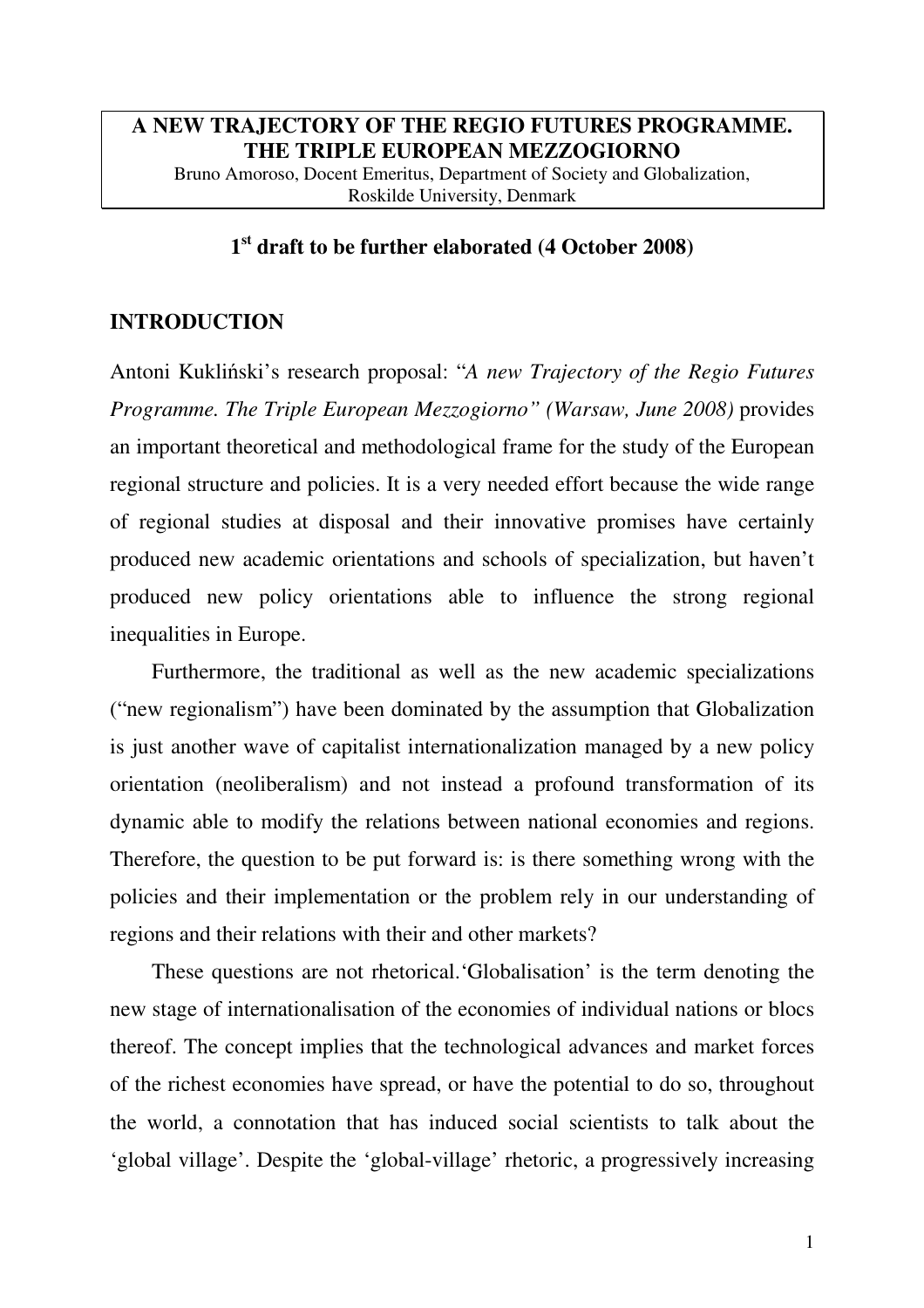# **A NEW TRAJECTORY OF THE REGIO FUTURES PROGRAMME. THE TRIPLE EUROPEAN MEZZOGIORNO**

Bruno Amoroso, Docent Emeritus, Department of Society and Globalization, Roskilde University, Denmark

# **1 st draft to be further elaborated (4 October 2008)**

# **INTRODUCTION**

Antoni Kukliński's research proposal: "*A new Trajectory of the Regio Futures Programme. The Triple European Mezzogiorno" (Warsaw, June 2008)* provides an important theoretical and methodological frame for the study of the European regional structure and policies. It is a very needed effort because the wide range of regional studies at disposal and their innovative promises have certainly produced new academic orientations and schools of specialization, but haven't produced new policy orientations able to influence the strong regional inequalities in Europe.

Furthermore, the traditional as well as the new academic specializations ("new regionalism") have been dominated by the assumption that Globalization is just another wave of capitalist internationalization managed by a new policy orientation (neoliberalism) and not instead a profound transformation of its dynamic able to modify the relations between national economies and regions. Therefore, the question to be put forward is: is there something wrong with the policies and their implementation or the problem rely in our understanding of regions and their relations with their and other markets?

These questions are not rhetorical.'Globalisation' is the term denoting the new stage of internationalisation of the economies of individual nations or blocs thereof. The concept implies that the technological advances and market forces of the richest economies have spread, or have the potential to do so, throughout the world, a connotation that has induced social scientists to talk about the 'global village'. Despite the 'global-village' rhetoric, a progressively increasing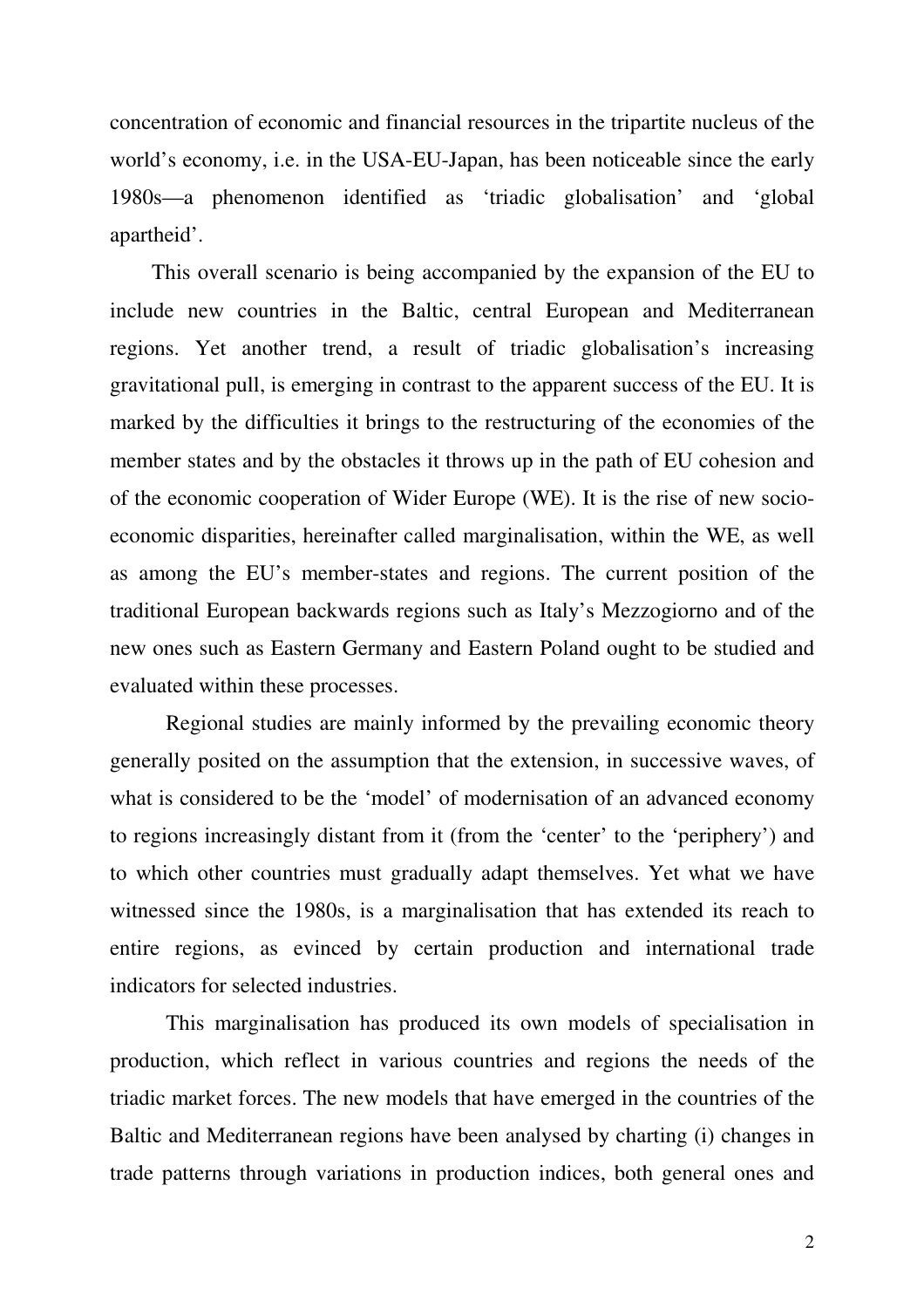concentration of economic and financial resources in the tripartite nucleus of the world's economy, i.e. in the USA-EU-Japan, has been noticeable since the early 1980s—a phenomenon identified as 'triadic globalisation' and 'global apartheid'.

This overall scenario is being accompanied by the expansion of the EU to include new countries in the Baltic, central European and Mediterranean regions. Yet another trend, a result of triadic globalisation's increasing gravitational pull, is emerging in contrast to the apparent success of the EU. It is marked by the difficulties it brings to the restructuring of the economies of the member states and by the obstacles it throws up in the path of EU cohesion and of the economic cooperation of Wider Europe (WE). It is the rise of new socioeconomic disparities, hereinafter called marginalisation, within the WE, as well as among the EU's member-states and regions. The current position of the traditional European backwards regions such as Italy's Mezzogiorno and of the new ones such as Eastern Germany and Eastern Poland ought to be studied and evaluated within these processes.

Regional studies are mainly informed by the prevailing economic theory generally posited on the assumption that the extension, in successive waves, of what is considered to be the 'model' of modernisation of an advanced economy to regions increasingly distant from it (from the 'center' to the 'periphery') and to which other countries must gradually adapt themselves. Yet what we have witnessed since the 1980s, is a marginalisation that has extended its reach to entire regions, as evinced by certain production and international trade indicators for selected industries.

This marginalisation has produced its own models of specialisation in production, which reflect in various countries and regions the needs of the triadic market forces. The new models that have emerged in the countries of the Baltic and Mediterranean regions have been analysed by charting (i) changes in trade patterns through variations in production indices, both general ones and

2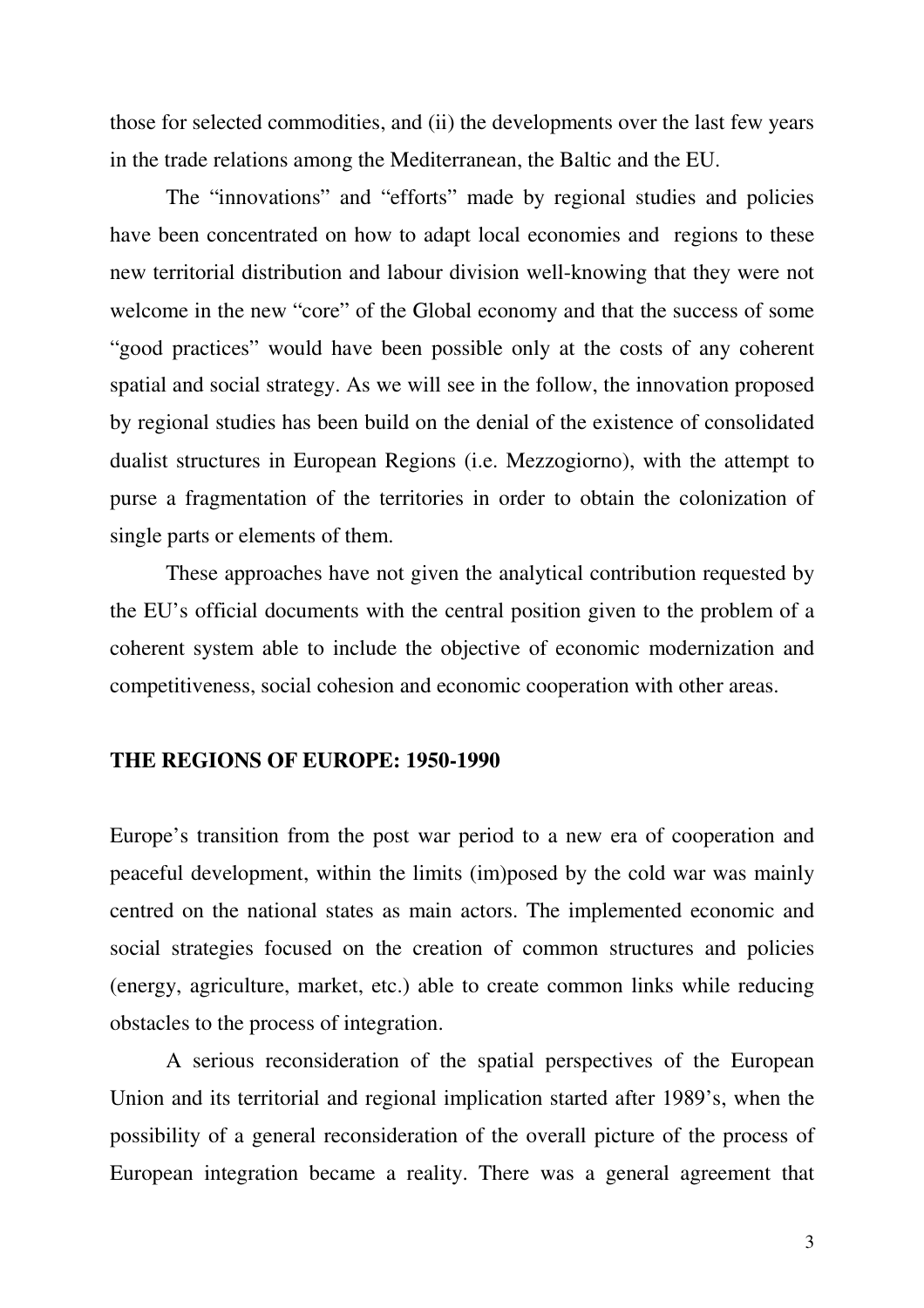those for selected commodities, and (ii) the developments over the last few years in the trade relations among the Mediterranean, the Baltic and the EU.

The "innovations" and "efforts" made by regional studies and policies have been concentrated on how to adapt local economies and regions to these new territorial distribution and labour division well-knowing that they were not welcome in the new "core" of the Global economy and that the success of some "good practices" would have been possible only at the costs of any coherent spatial and social strategy. As we will see in the follow, the innovation proposed by regional studies has been build on the denial of the existence of consolidated dualist structures in European Regions (i.e. Mezzogiorno), with the attempt to purse a fragmentation of the territories in order to obtain the colonization of single parts or elements of them.

These approaches have not given the analytical contribution requested by the EU's official documents with the central position given to the problem of a coherent system able to include the objective of economic modernization and competitiveness, social cohesion and economic cooperation with other areas.

### **THE REGIONS OF EUROPE: 1950-1990**

Europe's transition from the post war period to a new era of cooperation and peaceful development, within the limits (im)posed by the cold war was mainly centred on the national states as main actors. The implemented economic and social strategies focused on the creation of common structures and policies (energy, agriculture, market, etc.) able to create common links while reducing obstacles to the process of integration.

A serious reconsideration of the spatial perspectives of the European Union and its territorial and regional implication started after 1989's, when the possibility of a general reconsideration of the overall picture of the process of European integration became a reality. There was a general agreement that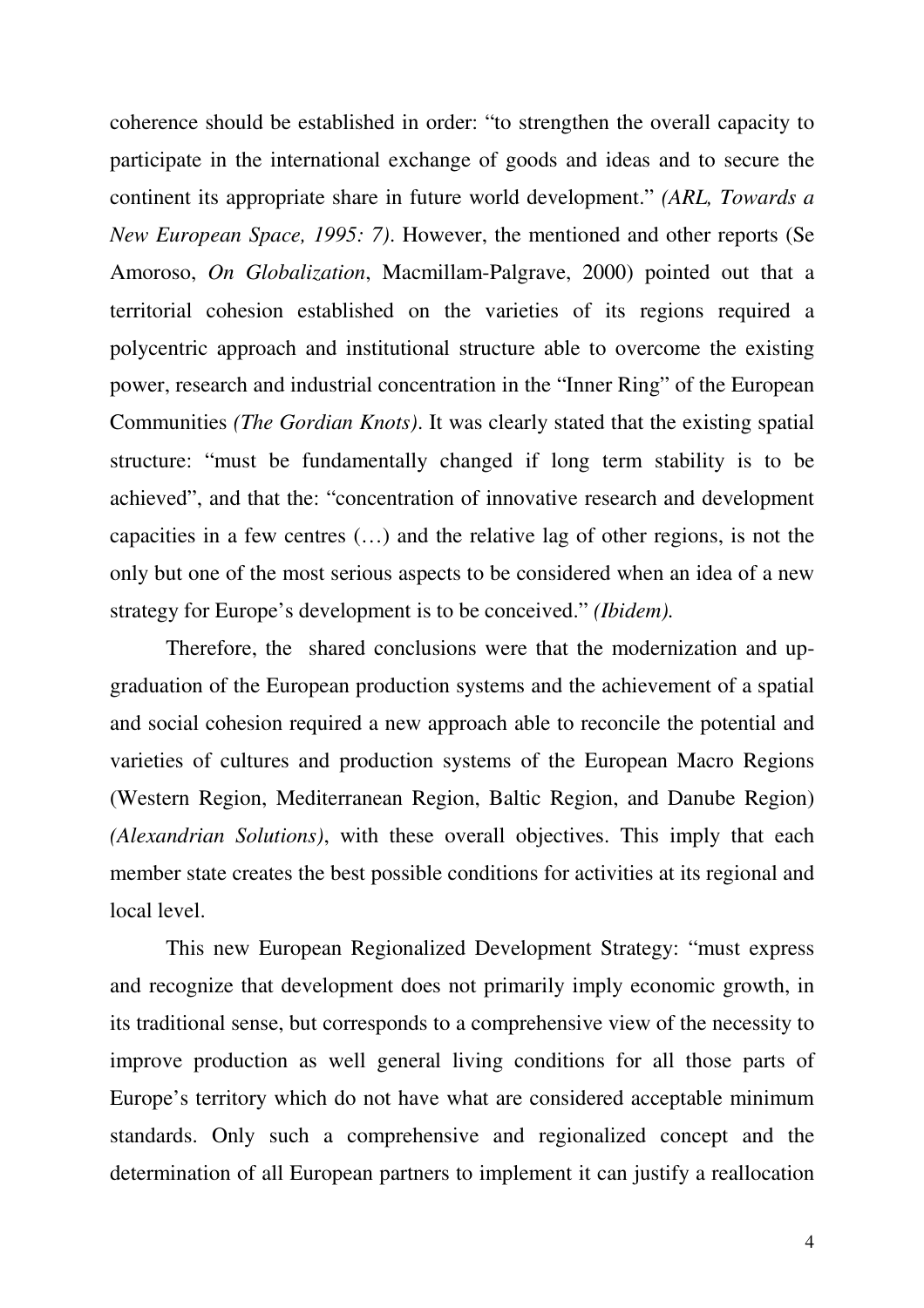coherence should be established in order: "to strengthen the overall capacity to participate in the international exchange of goods and ideas and to secure the continent its appropriate share in future world development." *(ARL, Towards a New European Space, 1995: 7)*. However, the mentioned and other reports (Se Amoroso, *On Globalization*, Macmillam-Palgrave, 2000) pointed out that a territorial cohesion established on the varieties of its regions required a polycentric approach and institutional structure able to overcome the existing power, research and industrial concentration in the "Inner Ring" of the European Communities *(The Gordian Knots)*. It was clearly stated that the existing spatial structure: "must be fundamentally changed if long term stability is to be achieved", and that the: "concentration of innovative research and development capacities in a few centres (…) and the relative lag of other regions, is not the only but one of the most serious aspects to be considered when an idea of a new strategy for Europe's development is to be conceived." *(Ibidem).*

Therefore, the shared conclusions were that the modernization and upgraduation of the European production systems and the achievement of a spatial and social cohesion required a new approach able to reconcile the potential and varieties of cultures and production systems of the European Macro Regions (Western Region, Mediterranean Region, Baltic Region, and Danube Region) *(Alexandrian Solutions)*, with these overall objectives. This imply that each member state creates the best possible conditions for activities at its regional and local level.

This new European Regionalized Development Strategy: "must express and recognize that development does not primarily imply economic growth, in its traditional sense, but corresponds to a comprehensive view of the necessity to improve production as well general living conditions for all those parts of Europe's territory which do not have what are considered acceptable minimum standards. Only such a comprehensive and regionalized concept and the determination of all European partners to implement it can justify a reallocation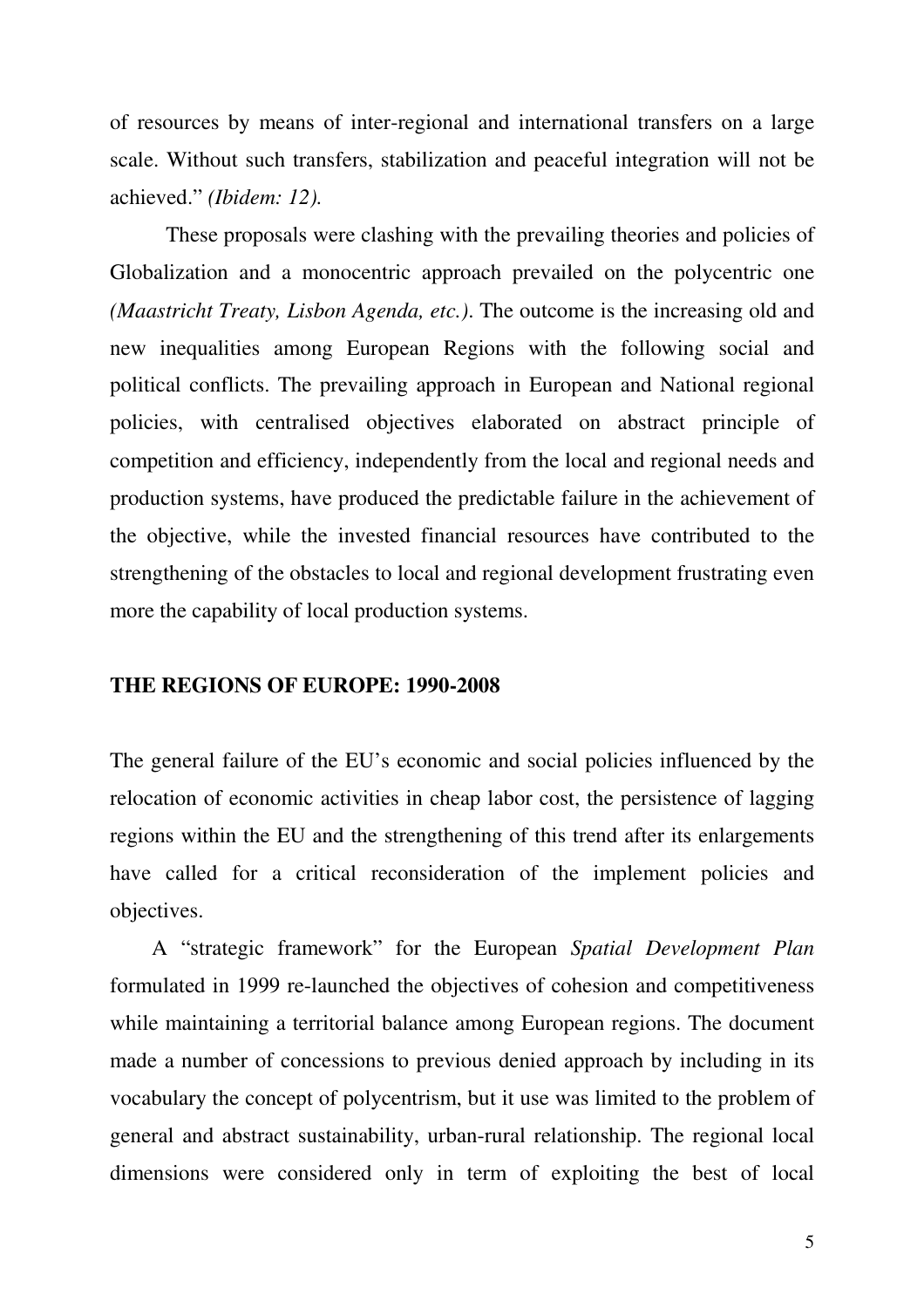of resources by means of inter-regional and international transfers on a large scale. Without such transfers, stabilization and peaceful integration will not be achieved." *(Ibidem: 12).*

These proposals were clashing with the prevailing theories and policies of Globalization and a monocentric approach prevailed on the polycentric one *(Maastricht Treaty, Lisbon Agenda, etc.)*. The outcome is the increasing old and new inequalities among European Regions with the following social and political conflicts. The prevailing approach in European and National regional policies, with centralised objectives elaborated on abstract principle of competition and efficiency, independently from the local and regional needs and production systems, have produced the predictable failure in the achievement of the objective, while the invested financial resources have contributed to the strengthening of the obstacles to local and regional development frustrating even more the capability of local production systems.

#### **THE REGIONS OF EUROPE: 1990-2008**

The general failure of the EU's economic and social policies influenced by the relocation of economic activities in cheap labor cost, the persistence of lagging regions within the EU and the strengthening of this trend after its enlargements have called for a critical reconsideration of the implement policies and objectives.

A "strategic framework" for the European *Spatial Development Plan* formulated in 1999 re-launched the objectives of cohesion and competitiveness while maintaining a territorial balance among European regions. The document made a number of concessions to previous denied approach by including in its vocabulary the concept of polycentrism, but it use was limited to the problem of general and abstract sustainability, urban-rural relationship. The regional local dimensions were considered only in term of exploiting the best of local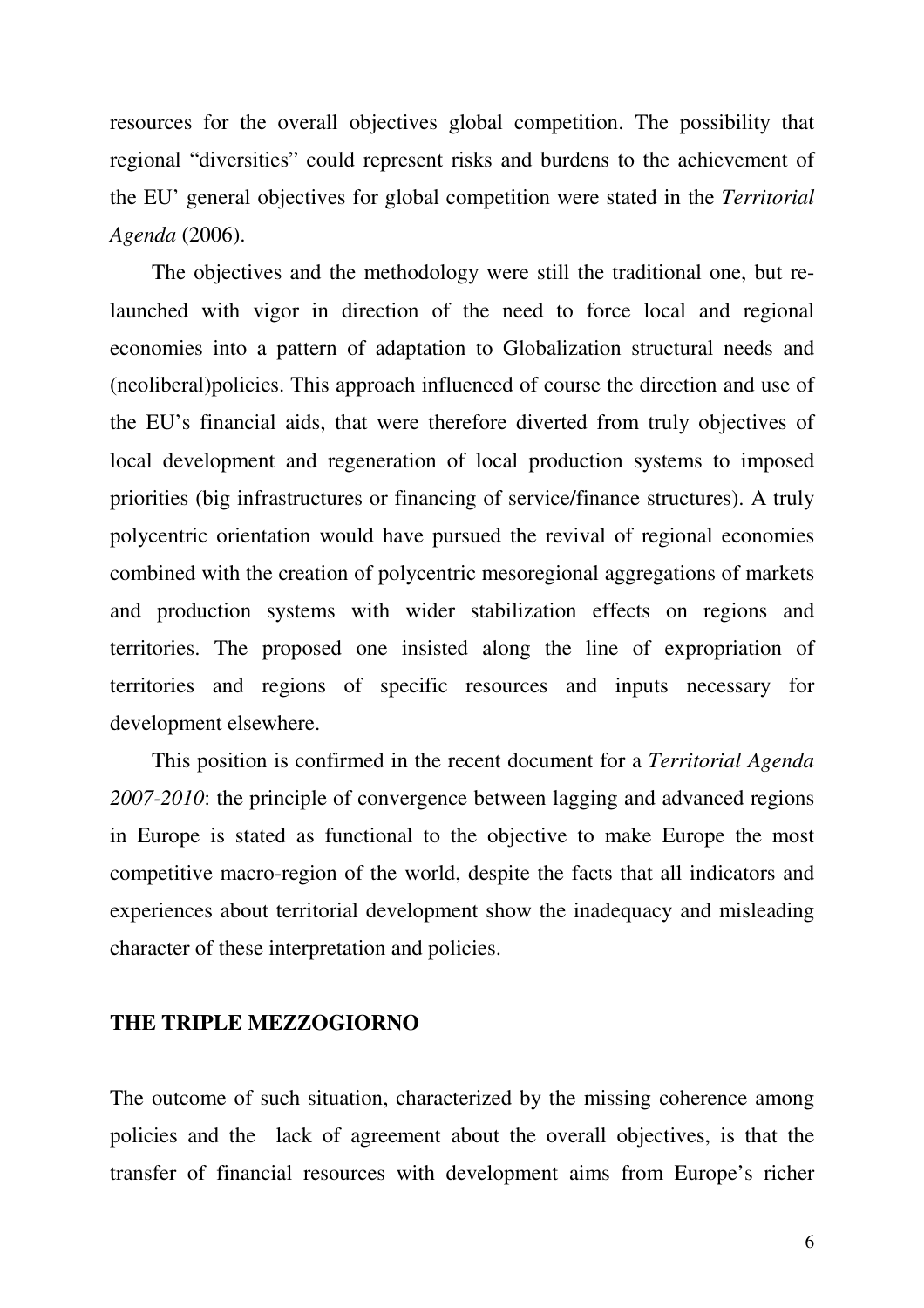resources for the overall objectives global competition. The possibility that regional "diversities" could represent risks and burdens to the achievement of the EU' general objectives for global competition were stated in the *Territorial Agenda* (2006).

The objectives and the methodology were still the traditional one, but relaunched with vigor in direction of the need to force local and regional economies into a pattern of adaptation to Globalization structural needs and (neoliberal)policies. This approach influenced of course the direction and use of the EU's financial aids, that were therefore diverted from truly objectives of local development and regeneration of local production systems to imposed priorities (big infrastructures or financing of service/finance structures). A truly polycentric orientation would have pursued the revival of regional economies combined with the creation of polycentric mesoregional aggregations of markets and production systems with wider stabilization effects on regions and territories. The proposed one insisted along the line of expropriation of territories and regions of specific resources and inputs necessary for development elsewhere.

This position is confirmed in the recent document for a *Territorial Agenda 2007-2010*: the principle of convergence between lagging and advanced regions in Europe is stated as functional to the objective to make Europe the most competitive macro-region of the world, despite the facts that all indicators and experiences about territorial development show the inadequacy and misleading character of these interpretation and policies.

### **THE TRIPLE MEZZOGIORNO**

The outcome of such situation, characterized by the missing coherence among policies and the lack of agreement about the overall objectives, is that the transfer of financial resources with development aims from Europe's richer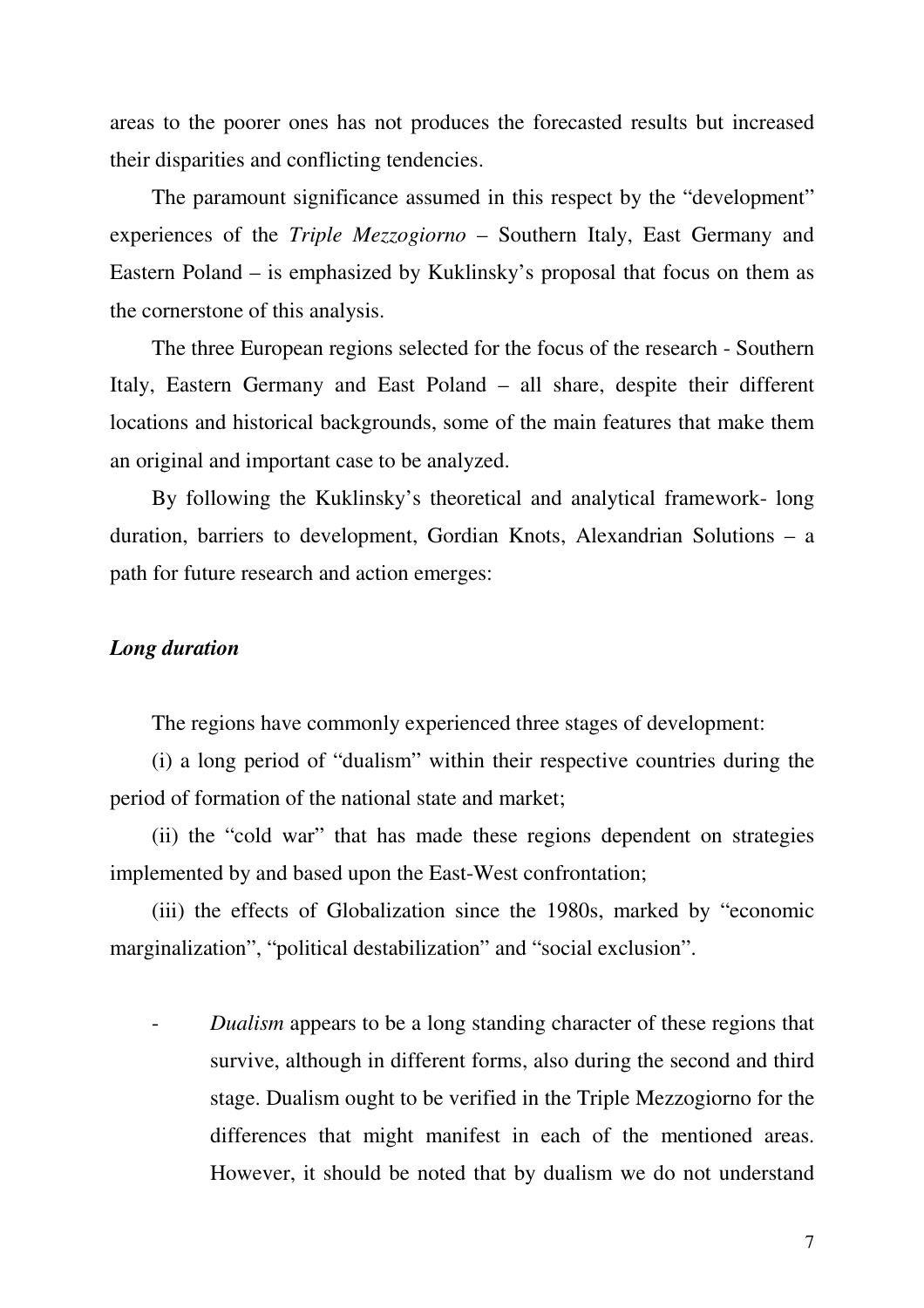areas to the poorer ones has not produces the forecasted results but increased their disparities and conflicting tendencies.

The paramount significance assumed in this respect by the "development" experiences of the *Triple Mezzogiorno* – Southern Italy, East Germany and Eastern Poland – is emphasized by Kuklinsky's proposal that focus on them as the cornerstone of this analysis.

The three European regions selected for the focus of the research - Southern Italy, Eastern Germany and East Poland – all share, despite their different locations and historical backgrounds, some of the main features that make them an original and important case to be analyzed.

By following the Kuklinsky's theoretical and analytical framework- long duration, barriers to development, Gordian Knots, Alexandrian Solutions – a path for future research and action emerges:

# *Long duration*

The regions have commonly experienced three stages of development:

(i) a long period of "dualism" within their respective countries during the period of formation of the national state and market;

(ii) the "cold war" that has made these regions dependent on strategies implemented by and based upon the East-West confrontation;

(iii) the effects of Globalization since the 1980s, marked by "economic marginalization", "political destabilization" and "social exclusion".

*Dualism* appears to be a long standing character of these regions that survive, although in different forms, also during the second and third stage. Dualism ought to be verified in the Triple Mezzogiorno for the differences that might manifest in each of the mentioned areas. However, it should be noted that by dualism we do not understand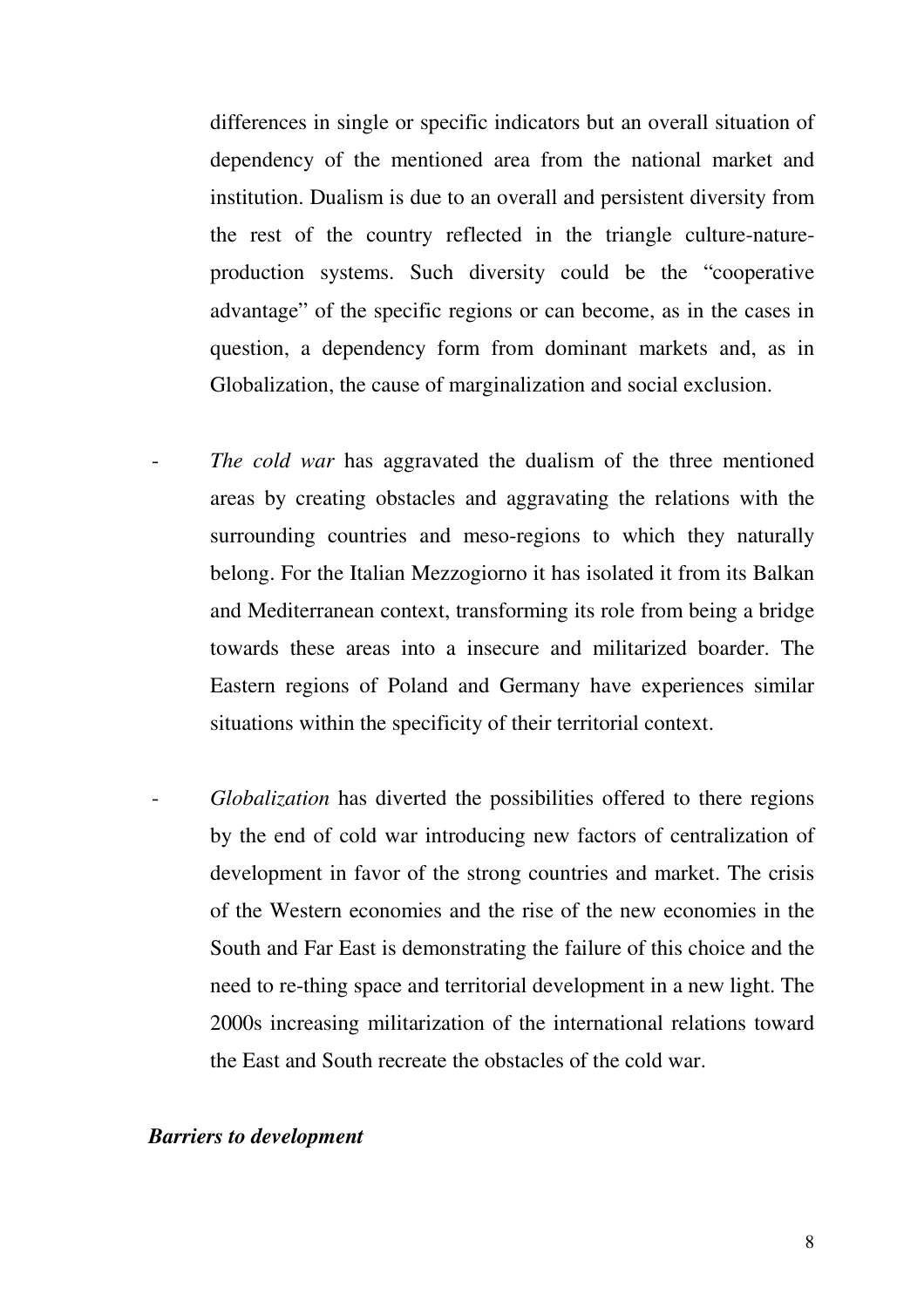differences in single or specific indicators but an overall situation of dependency of the mentioned area from the national market and institution. Dualism is due to an overall and persistent diversity from the rest of the country reflected in the triangle culture-natureproduction systems. Such diversity could be the "cooperative advantage" of the specific regions or can become, as in the cases in question, a dependency form from dominant markets and, as in Globalization, the cause of marginalization and social exclusion.

- The cold war has aggravated the dualism of the three mentioned areas by creating obstacles and aggravating the relations with the surrounding countries and meso-regions to which they naturally belong. For the Italian Mezzogiorno it has isolated it from its Balkan and Mediterranean context, transforming its role from being a bridge towards these areas into a insecure and militarized boarder. The Eastern regions of Poland and Germany have experiences similar situations within the specificity of their territorial context.
- *Globalization* has diverted the possibilities offered to there regions by the end of cold war introducing new factors of centralization of development in favor of the strong countries and market. The crisis of the Western economies and the rise of the new economies in the South and Far East is demonstrating the failure of this choice and the need to re-thing space and territorial development in a new light. The 2000s increasing militarization of the international relations toward the East and South recreate the obstacles of the cold war.

# *Barriers to development*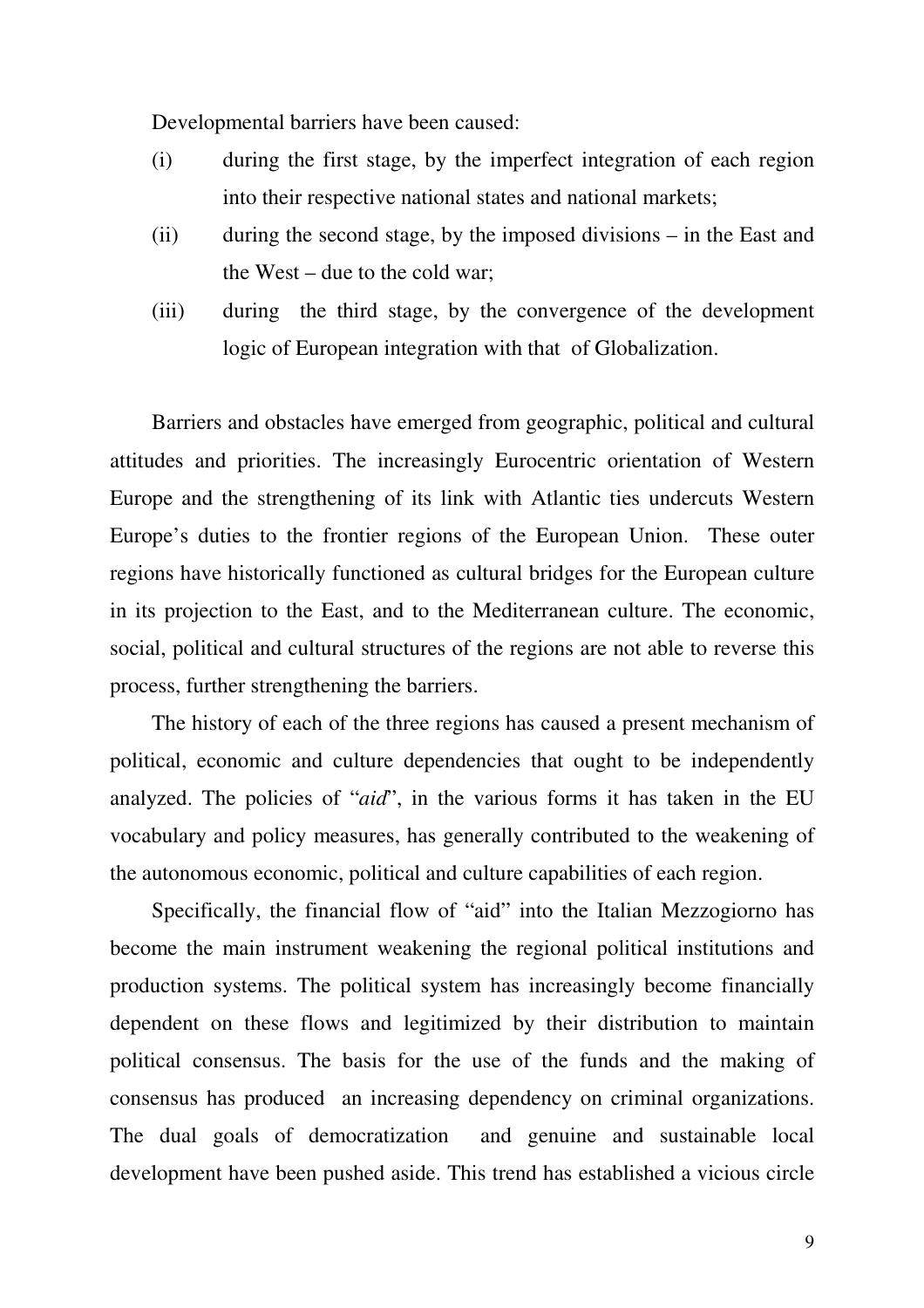Developmental barriers have been caused:

- (i) during the first stage, by the imperfect integration of each region into their respective national states and national markets;
- (ii) during the second stage, by the imposed divisions in the East and the West – due to the cold war;
- (iii) during the third stage, by the convergence of the development logic of European integration with that of Globalization.

Barriers and obstacles have emerged from geographic, political and cultural attitudes and priorities. The increasingly Eurocentric orientation of Western Europe and the strengthening of its link with Atlantic ties undercuts Western Europe's duties to the frontier regions of the European Union. These outer regions have historically functioned as cultural bridges for the European culture in its projection to the East, and to the Mediterranean culture. The economic, social, political and cultural structures of the regions are not able to reverse this process, further strengthening the barriers.

The history of each of the three regions has caused a present mechanism of political, economic and culture dependencies that ought to be independently analyzed. The policies of "*aid*", in the various forms it has taken in the EU vocabulary and policy measures, has generally contributed to the weakening of the autonomous economic, political and culture capabilities of each region.

Specifically, the financial flow of "aid" into the Italian Mezzogiorno has become the main instrument weakening the regional political institutions and production systems. The political system has increasingly become financially dependent on these flows and legitimized by their distribution to maintain political consensus. The basis for the use of the funds and the making of consensus has produced an increasing dependency on criminal organizations. The dual goals of democratization and genuine and sustainable local development have been pushed aside. This trend has established a vicious circle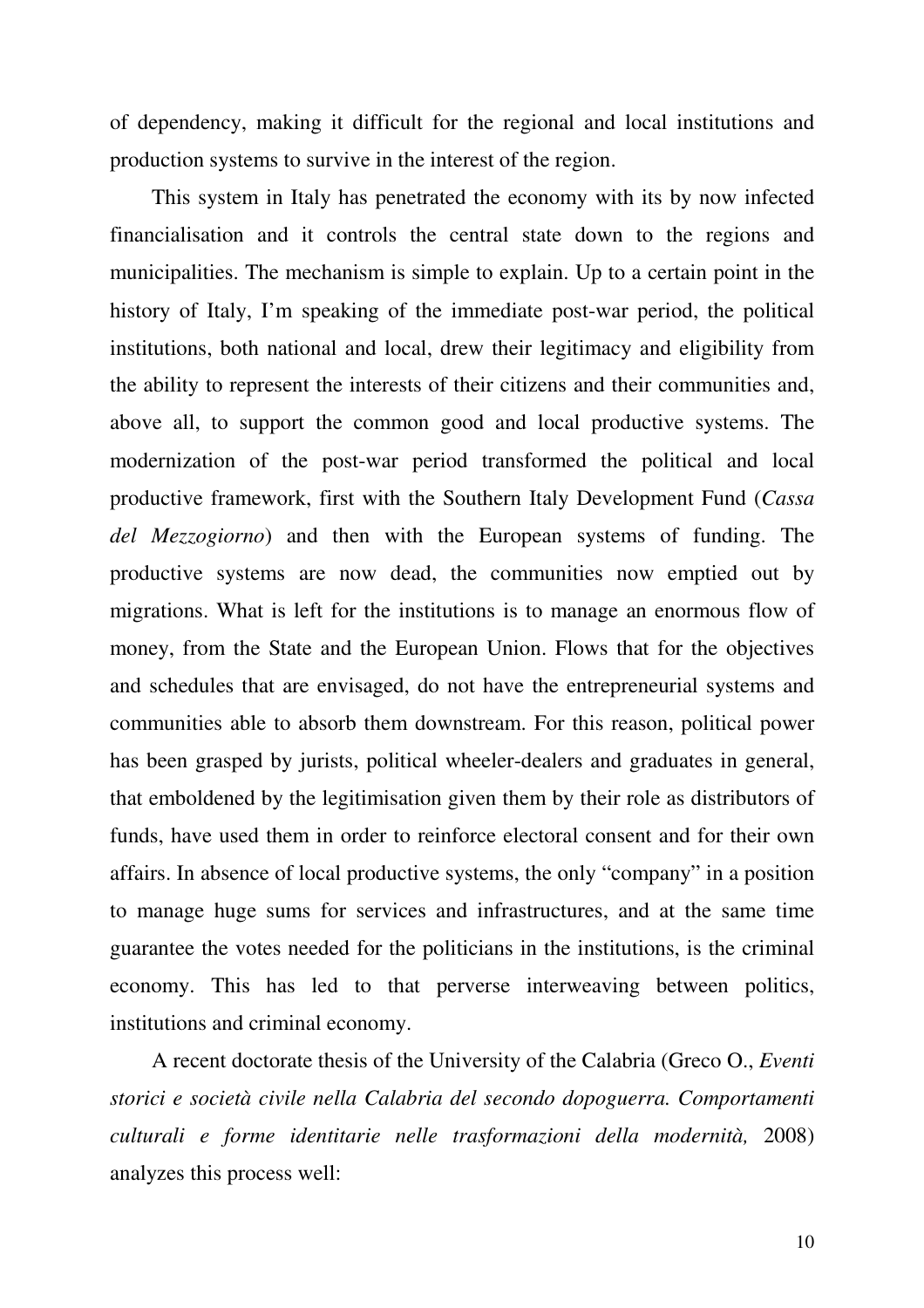of dependency, making it difficult for the regional and local institutions and production systems to survive in the interest of the region.

This system in Italy has penetrated the economy with its by now infected financialisation and it controls the central state down to the regions and municipalities. The mechanism is simple to explain. Up to a certain point in the history of Italy, I'm speaking of the immediate post-war period, the political institutions, both national and local, drew their legitimacy and eligibility from the ability to represent the interests of their citizens and their communities and, above all, to support the common good and local productive systems. The modernization of the post-war period transformed the political and local productive framework, first with the Southern Italy Development Fund (*Cassa del Mezzogiorno*) and then with the European systems of funding. The productive systems are now dead, the communities now emptied out by migrations. What is left for the institutions is to manage an enormous flow of money, from the State and the European Union. Flows that for the objectives and schedules that are envisaged, do not have the entrepreneurial systems and communities able to absorb them downstream. For this reason, political power has been grasped by jurists, political wheeler-dealers and graduates in general, that emboldened by the legitimisation given them by their role as distributors of funds, have used them in order to reinforce electoral consent and for their own affairs. In absence of local productive systems, the only "company" in a position to manage huge sums for services and infrastructures, and at the same time guarantee the votes needed for the politicians in the institutions, is the criminal economy. This has led to that perverse interweaving between politics, institutions and criminal economy.

A recent doctorate thesis of the University of the Calabria (Greco O., *Eventi storici e società civile nella Calabria del secondo dopoguerra. Comportamenti culturali e forme identitarie nelle trasformazioni della modernità,* 2008) analyzes this process well:

10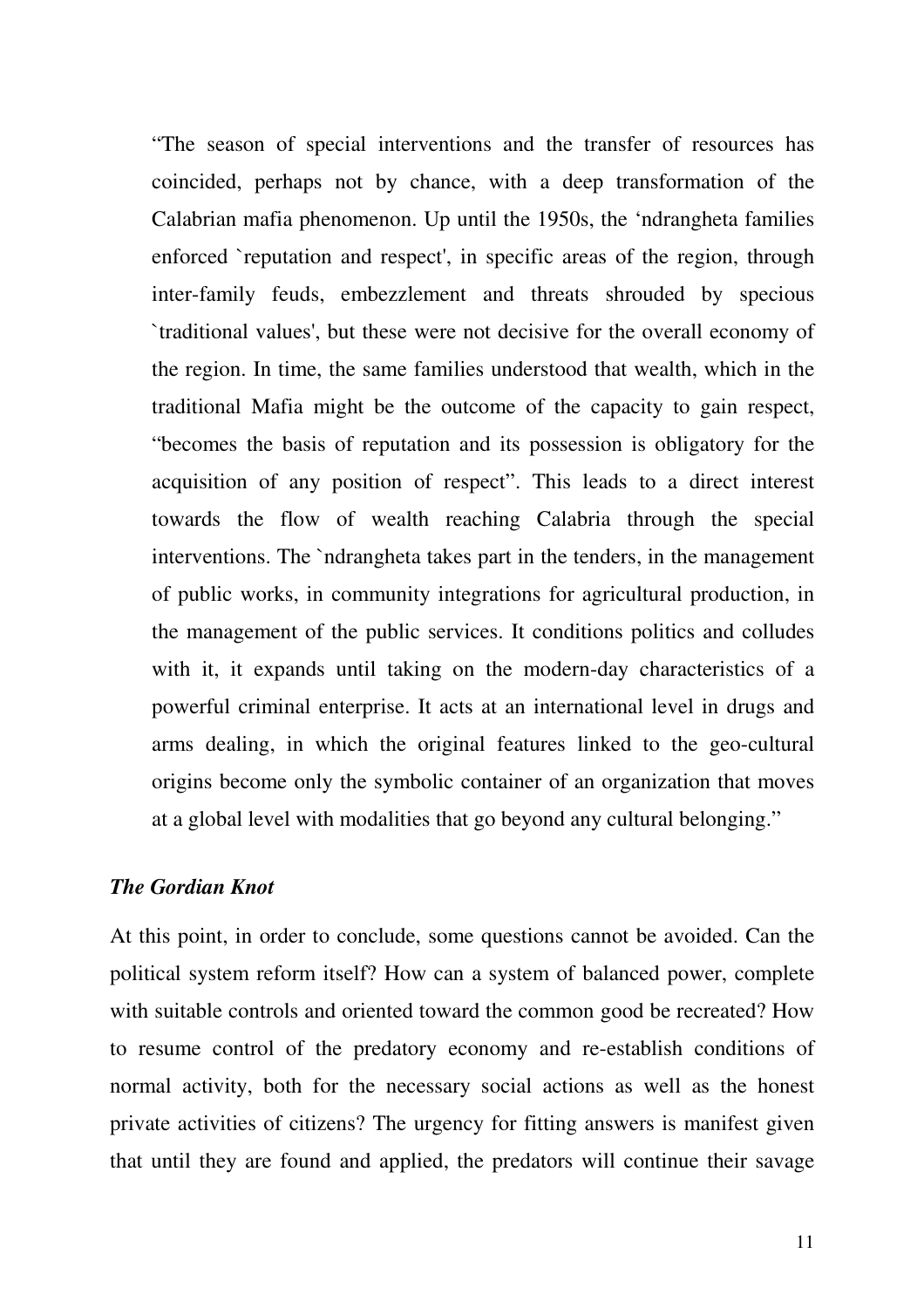"The season of special interventions and the transfer of resources has coincided, perhaps not by chance, with a deep transformation of the Calabrian mafia phenomenon. Up until the 1950s, the 'ndrangheta families enforced `reputation and respect', in specific areas of the region, through inter-family feuds, embezzlement and threats shrouded by specious `traditional values', but these were not decisive for the overall economy of the region. In time, the same families understood that wealth, which in the traditional Mafia might be the outcome of the capacity to gain respect, "becomes the basis of reputation and its possession is obligatory for the acquisition of any position of respect". This leads to a direct interest towards the flow of wealth reaching Calabria through the special interventions. The `ndrangheta takes part in the tenders, in the management of public works, in community integrations for agricultural production, in the management of the public services. It conditions politics and colludes with it, it expands until taking on the modern-day characteristics of a powerful criminal enterprise. It acts at an international level in drugs and arms dealing, in which the original features linked to the geo-cultural origins become only the symbolic container of an organization that moves at a global level with modalities that go beyond any cultural belonging."

## *The Gordian Knot*

At this point, in order to conclude, some questions cannot be avoided. Can the political system reform itself? How can a system of balanced power, complete with suitable controls and oriented toward the common good be recreated? How to resume control of the predatory economy and re-establish conditions of normal activity, both for the necessary social actions as well as the honest private activities of citizens? The urgency for fitting answers is manifest given that until they are found and applied, the predators will continue their savage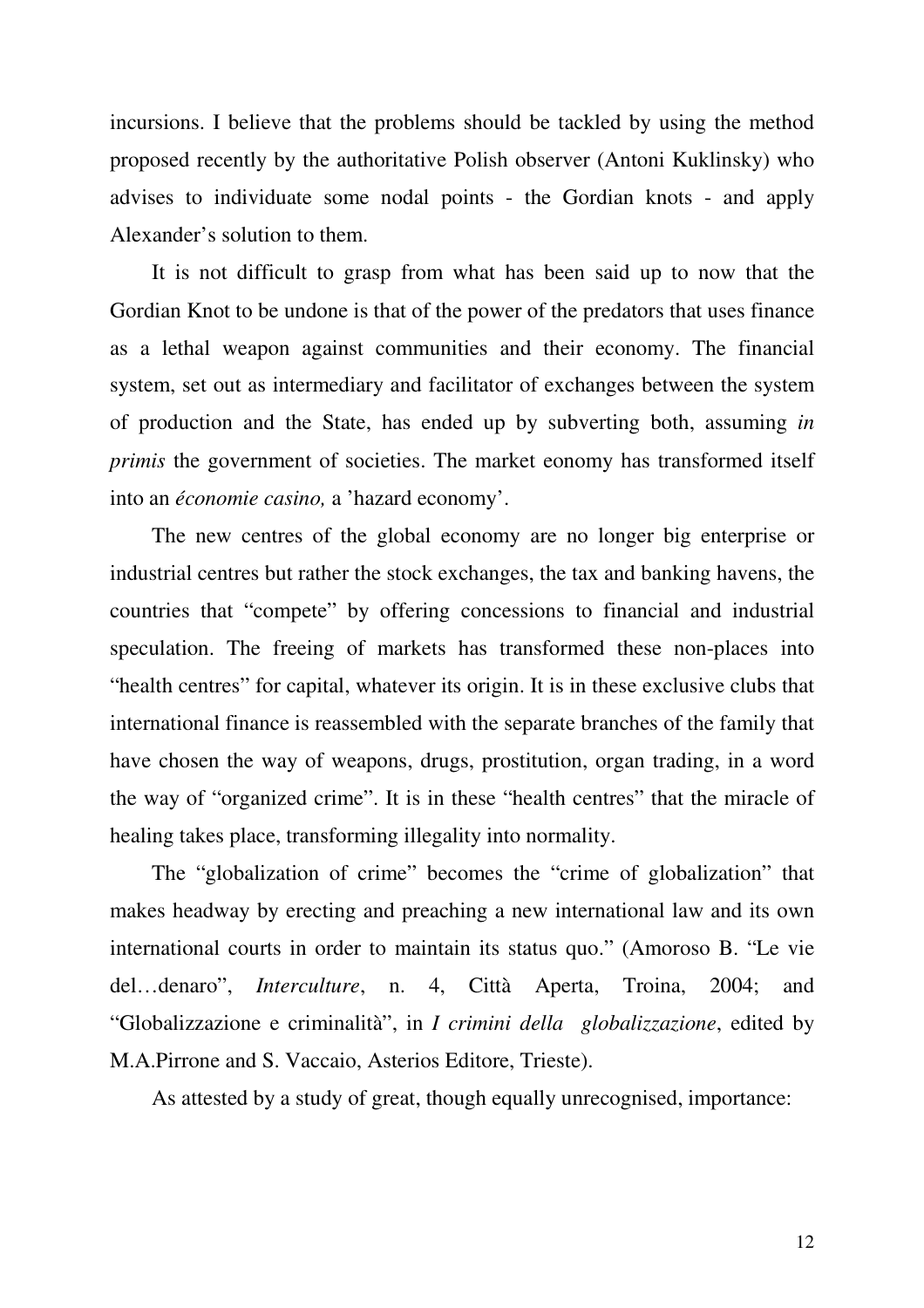incursions. I believe that the problems should be tackled by using the method proposed recently by the authoritative Polish observer (Antoni Kuklinsky) who advises to individuate some nodal points - the Gordian knots - and apply Alexander's solution to them.

It is not difficult to grasp from what has been said up to now that the Gordian Knot to be undone is that of the power of the predators that uses finance as a lethal weapon against communities and their economy. The financial system, set out as intermediary and facilitator of exchanges between the system of production and the State, has ended up by subverting both, assuming *in primis* the government of societies. The market eonomy has transformed itself into an *économie casino,* a 'hazard economy'.

The new centres of the global economy are no longer big enterprise or industrial centres but rather the stock exchanges, the tax and banking havens, the countries that "compete" by offering concessions to financial and industrial speculation. The freeing of markets has transformed these non-places into "health centres" for capital, whatever its origin. It is in these exclusive clubs that international finance is reassembled with the separate branches of the family that have chosen the way of weapons, drugs, prostitution, organ trading, in a word the way of "organized crime". It is in these "health centres" that the miracle of healing takes place, transforming illegality into normality.

The "globalization of crime" becomes the "crime of globalization" that makes headway by erecting and preaching a new international law and its own international courts in order to maintain its status quo." (Amoroso B. "Le vie del…denaro", *Interculture*, n. 4, Città Aperta, Troina, 2004; and "Globalizzazione e criminalità", in *I crimini della globalizzazione*, edited by M.A.Pirrone and S. Vaccaio, Asterios Editore, Trieste).

As attested by a study of great, though equally unrecognised, importance: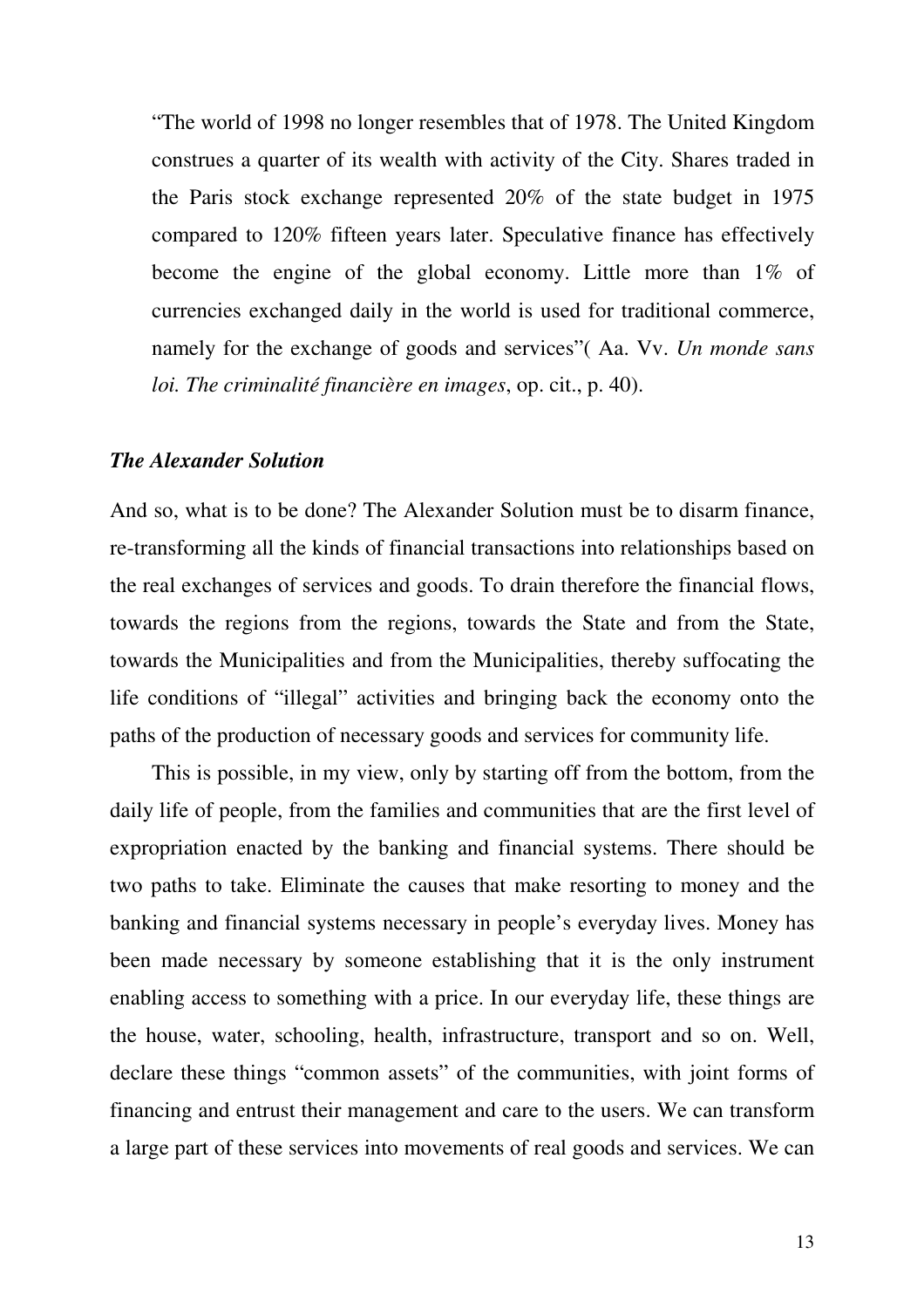"The world of 1998 no longer resembles that of 1978. The United Kingdom construes a quarter of its wealth with activity of the City. Shares traded in the Paris stock exchange represented 20% of the state budget in 1975 compared to 120% fifteen years later. Speculative finance has effectively become the engine of the global economy. Little more than 1% of currencies exchanged daily in the world is used for traditional commerce, namely for the exchange of goods and services"( Aa. Vv. *Un monde sans loi. The criminalité financière en images*, op. cit., p. 40).

#### *The Alexander Solution*

And so, what is to be done? The Alexander Solution must be to disarm finance, re-transforming all the kinds of financial transactions into relationships based on the real exchanges of services and goods. To drain therefore the financial flows, towards the regions from the regions, towards the State and from the State, towards the Municipalities and from the Municipalities, thereby suffocating the life conditions of "illegal" activities and bringing back the economy onto the paths of the production of necessary goods and services for community life.

This is possible, in my view, only by starting off from the bottom, from the daily life of people, from the families and communities that are the first level of expropriation enacted by the banking and financial systems. There should be two paths to take. Eliminate the causes that make resorting to money and the banking and financial systems necessary in people's everyday lives. Money has been made necessary by someone establishing that it is the only instrument enabling access to something with a price. In our everyday life, these things are the house, water, schooling, health, infrastructure, transport and so on. Well, declare these things "common assets" of the communities, with joint forms of financing and entrust their management and care to the users. We can transform a large part of these services into movements of real goods and services. We can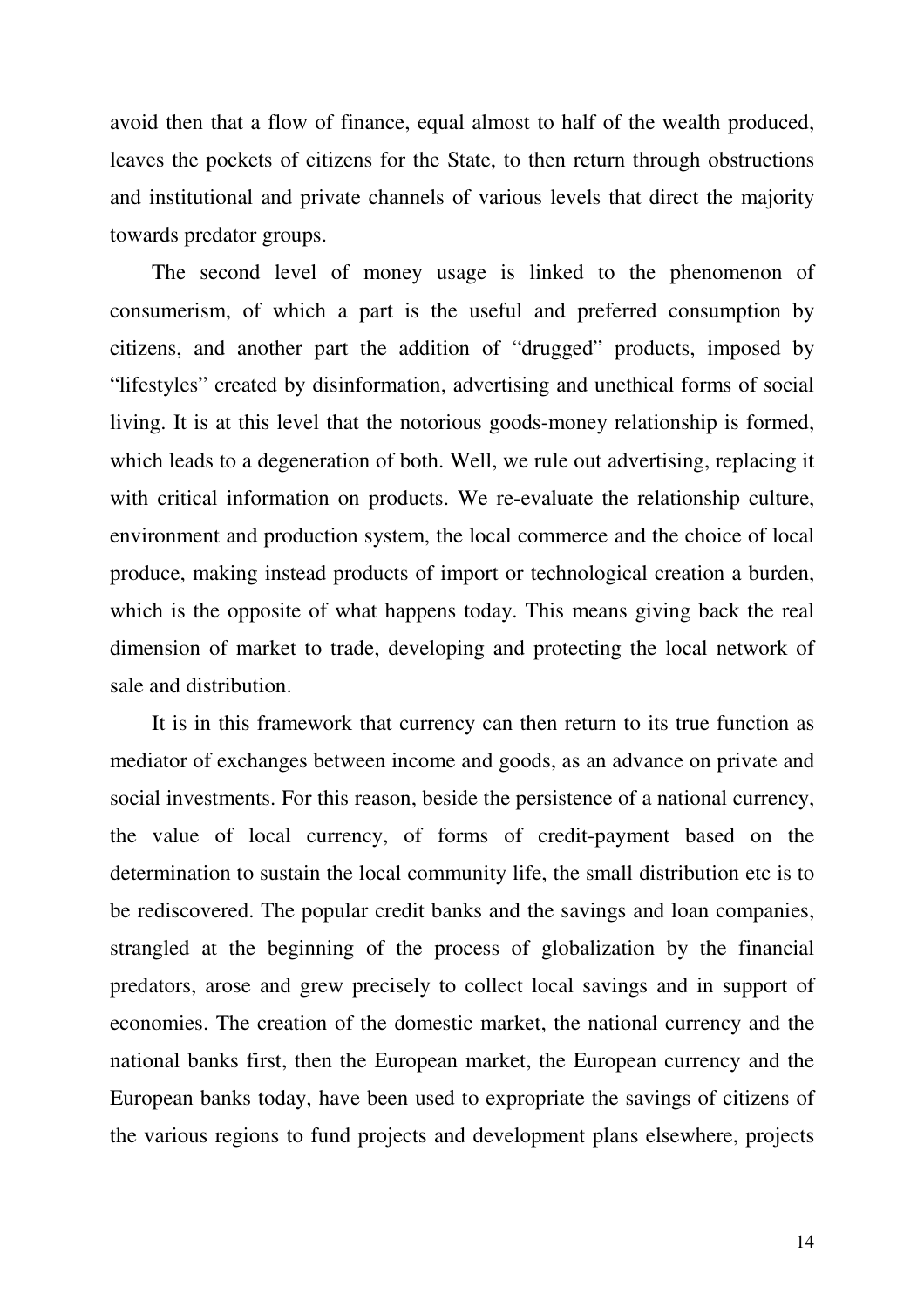avoid then that a flow of finance, equal almost to half of the wealth produced, leaves the pockets of citizens for the State, to then return through obstructions and institutional and private channels of various levels that direct the majority towards predator groups.

The second level of money usage is linked to the phenomenon of consumerism, of which a part is the useful and preferred consumption by citizens, and another part the addition of "drugged" products, imposed by "lifestyles" created by disinformation, advertising and unethical forms of social living. It is at this level that the notorious goods-money relationship is formed, which leads to a degeneration of both. Well, we rule out advertising, replacing it with critical information on products. We re-evaluate the relationship culture, environment and production system, the local commerce and the choice of local produce, making instead products of import or technological creation a burden, which is the opposite of what happens today. This means giving back the real dimension of market to trade, developing and protecting the local network of sale and distribution.

It is in this framework that currency can then return to its true function as mediator of exchanges between income and goods, as an advance on private and social investments. For this reason, beside the persistence of a national currency, the value of local currency, of forms of credit-payment based on the determination to sustain the local community life, the small distribution etc is to be rediscovered. The popular credit banks and the savings and loan companies, strangled at the beginning of the process of globalization by the financial predators, arose and grew precisely to collect local savings and in support of economies. The creation of the domestic market, the national currency and the national banks first, then the European market, the European currency and the European banks today, have been used to expropriate the savings of citizens of the various regions to fund projects and development plans elsewhere, projects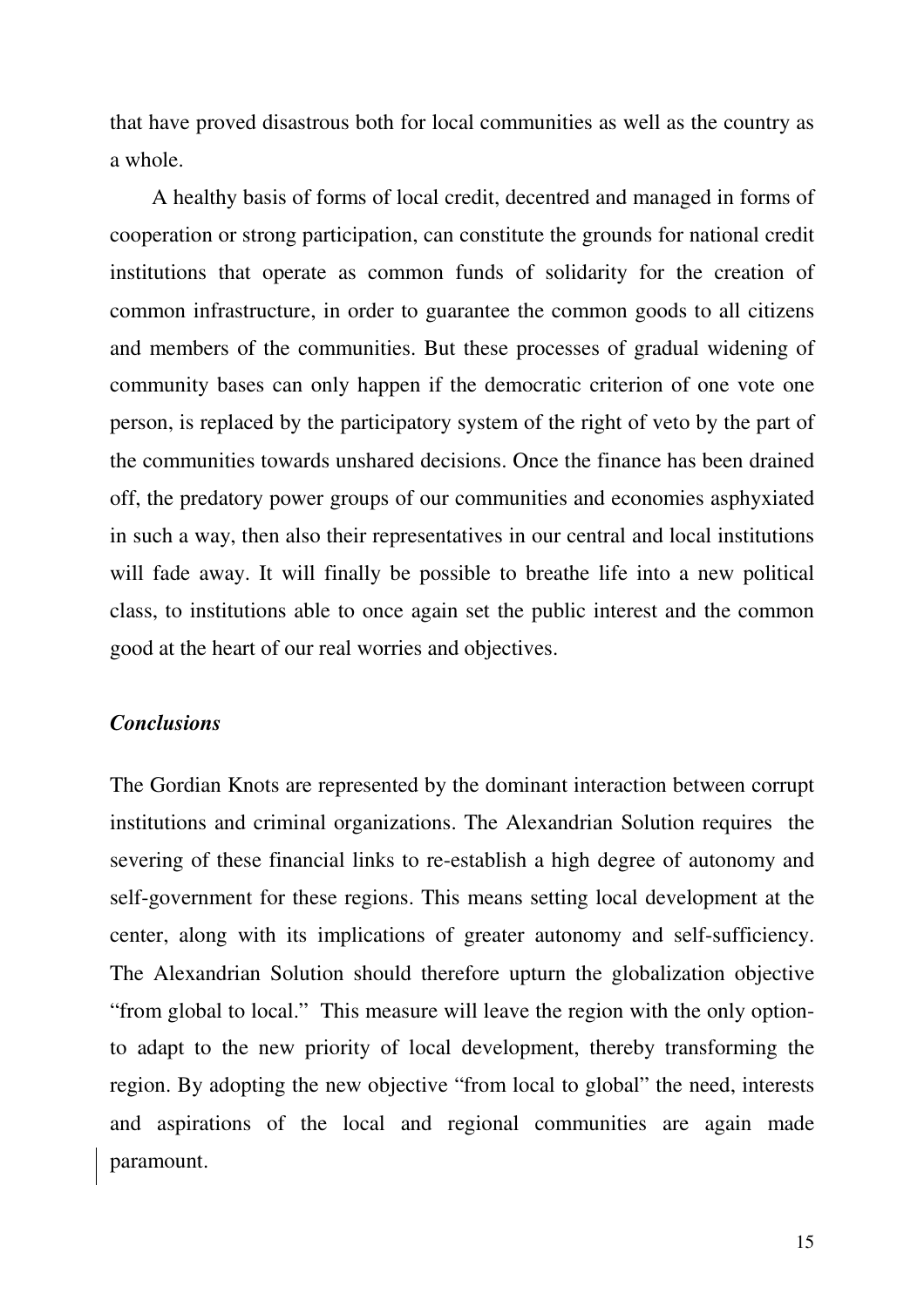that have proved disastrous both for local communities as well as the country as a whole.

A healthy basis of forms of local credit, decentred and managed in forms of cooperation or strong participation, can constitute the grounds for national credit institutions that operate as common funds of solidarity for the creation of common infrastructure, in order to guarantee the common goods to all citizens and members of the communities. But these processes of gradual widening of community bases can only happen if the democratic criterion of one vote one person, is replaced by the participatory system of the right of veto by the part of the communities towards unshared decisions. Once the finance has been drained off, the predatory power groups of our communities and economies asphyxiated in such a way, then also their representatives in our central and local institutions will fade away. It will finally be possible to breathe life into a new political class, to institutions able to once again set the public interest and the common good at the heart of our real worries and objectives.

## *Conclusions*

The Gordian Knots are represented by the dominant interaction between corrupt institutions and criminal organizations. The Alexandrian Solution requires the severing of these financial links to re-establish a high degree of autonomy and self-government for these regions. This means setting local development at the center, along with its implications of greater autonomy and self-sufficiency. The Alexandrian Solution should therefore upturn the globalization objective "from global to local." This measure will leave the region with the only optionto adapt to the new priority of local development, thereby transforming the region. By adopting the new objective "from local to global" the need, interests and aspirations of the local and regional communities are again made paramount.